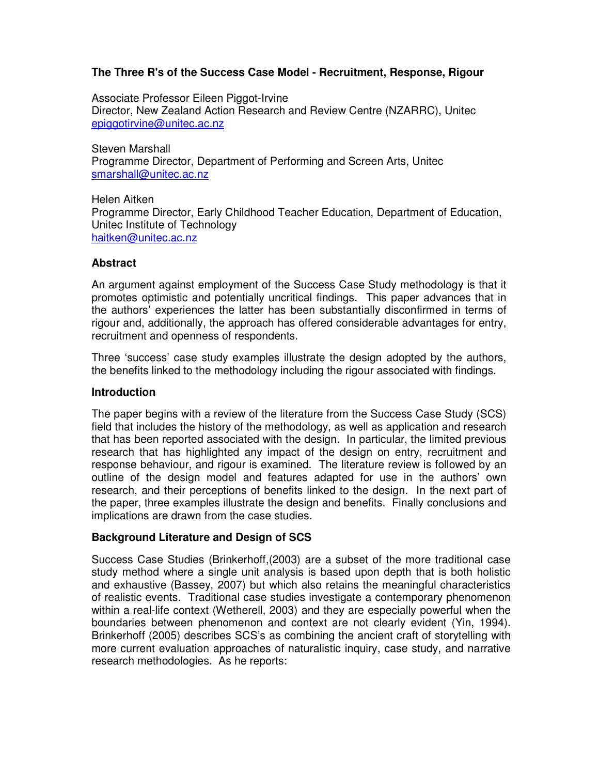# **The Three R's of the Success Case Model - Recruitment, Response, Rigour**

Associate Professor Eileen Piggot-Irvine Director, New Zealand Action Research and Review Centre (NZARRC), Unitec epiggotirvine@unitec.ac.nz

Steven Marshall Programme Director, Department of Performing and Screen Arts, Unitec smarshall@unitec.ac.nz

Helen Aitken Programme Director, Early Childhood Teacher Education, Department of Education, Unitec Institute of Technology haitken@unitec.ac.nz

# **Abstract**

An argument against employment of the Success Case Study methodology is that it promotes optimistic and potentially uncritical findings. This paper advances that in the authors' experiences the latter has been substantially disconfirmed in terms of rigour and, additionally, the approach has offered considerable advantages for entry, recruitment and openness of respondents.

Three 'success' case study examples illustrate the design adopted by the authors, the benefits linked to the methodology including the rigour associated with findings.

#### **Introduction**

The paper begins with a review of the literature from the Success Case Study (SCS) field that includes the history of the methodology, as well as application and research that has been reported associated with the design. In particular, the limited previous research that has highlighted any impact of the design on entry, recruitment and response behaviour, and rigour is examined. The literature review is followed by an outline of the design model and features adapted for use in the authors' own research, and their perceptions of benefits linked to the design. In the next part of the paper, three examples illustrate the design and benefits. Finally conclusions and implications are drawn from the case studies.

# **Background Literature and Design of SCS**

Success Case Studies (Brinkerhoff,(2003) are a subset of the more traditional case study method where a single unit analysis is based upon depth that is both holistic and exhaustive (Bassey, 2007) but which also retains the meaningful characteristics of realistic events. Traditional case studies investigate a contemporary phenomenon within a real-life context (Wetherell, 2003) and they are especially powerful when the boundaries between phenomenon and context are not clearly evident (Yin, 1994). Brinkerhoff (2005) describes SCS's as combining the ancient craft of storytelling with more current evaluation approaches of naturalistic inquiry, case study, and narrative research methodologies. As he reports: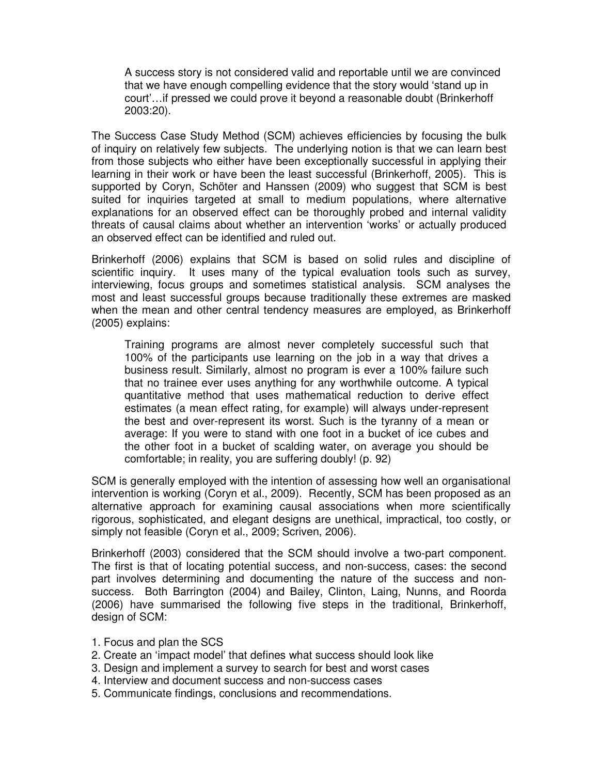A success story is not considered valid and reportable until we are convinced that we have enough compelling evidence that the story would 'stand up in court'…if pressed we could prove it beyond a reasonable doubt (Brinkerhoff 2003:20).

The Success Case Study Method (SCM) achieves efficiencies by focusing the bulk of inquiry on relatively few subjects. The underlying notion is that we can learn best from those subjects who either have been exceptionally successful in applying their learning in their work or have been the least successful (Brinkerhoff, 2005). This is supported by Coryn, Schöter and Hanssen (2009) who suggest that SCM is best suited for inquiries targeted at small to medium populations, where alternative explanations for an observed effect can be thoroughly probed and internal validity threats of causal claims about whether an intervention 'works' or actually produced an observed effect can be identified and ruled out.

Brinkerhoff (2006) explains that SCM is based on solid rules and discipline of scientific inquiry. It uses many of the typical evaluation tools such as survey, interviewing, focus groups and sometimes statistical analysis. SCM analyses the most and least successful groups because traditionally these extremes are masked when the mean and other central tendency measures are employed, as Brinkerhoff (2005) explains:

Training programs are almost never completely successful such that 100% of the participants use learning on the job in a way that drives a business result. Similarly, almost no program is ever a 100% failure such that no trainee ever uses anything for any worthwhile outcome. A typical quantitative method that uses mathematical reduction to derive effect estimates (a mean effect rating, for example) will always under-represent the best and over-represent its worst. Such is the tyranny of a mean or average: If you were to stand with one foot in a bucket of ice cubes and the other foot in a bucket of scalding water, on average you should be comfortable; in reality, you are suffering doubly! (p. 92)

SCM is generally employed with the intention of assessing how well an organisational intervention is working (Coryn et al., 2009). Recently, SCM has been proposed as an alternative approach for examining causal associations when more scientifically rigorous, sophisticated, and elegant designs are unethical, impractical, too costly, or simply not feasible (Coryn et al., 2009; Scriven, 2006).

Brinkerhoff (2003) considered that the SCM should involve a two-part component. The first is that of locating potential success, and non-success, cases: the second part involves determining and documenting the nature of the success and nonsuccess. Both Barrington (2004) and Bailey, Clinton, Laing, Nunns, and Roorda (2006) have summarised the following five steps in the traditional, Brinkerhoff, design of SCM:

- 1. Focus and plan the SCS
- 2. Create an 'impact model' that defines what success should look like
- 3. Design and implement a survey to search for best and worst cases
- 4. Interview and document success and non-success cases
- 5. Communicate findings, conclusions and recommendations.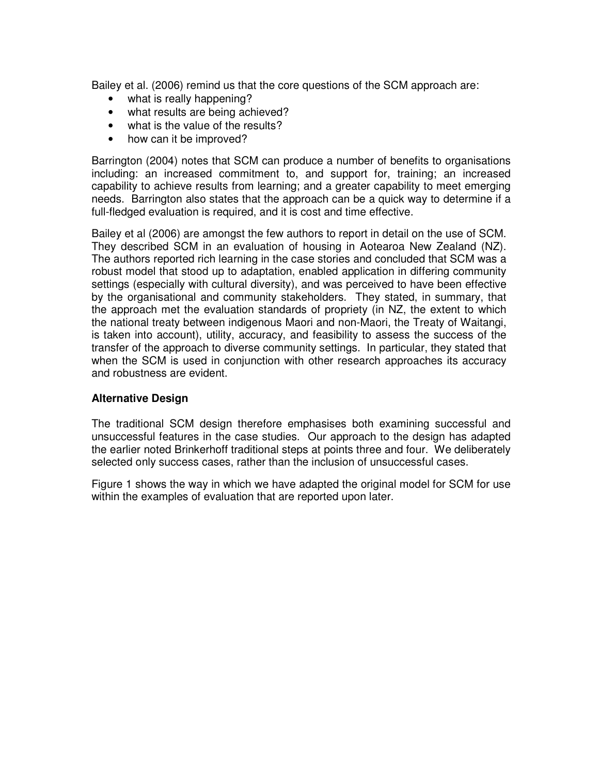Bailey et al. (2006) remind us that the core questions of the SCM approach are:

- what is really happening?
- what results are being achieved?
- what is the value of the results?
- how can it be improved?

Barrington (2004) notes that SCM can produce a number of benefits to organisations including: an increased commitment to, and support for, training; an increased capability to achieve results from learning; and a greater capability to meet emerging needs. Barrington also states that the approach can be a quick way to determine if a full-fledged evaluation is required, and it is cost and time effective.

Bailey et al (2006) are amongst the few authors to report in detail on the use of SCM. They described SCM in an evaluation of housing in Aotearoa New Zealand (NZ). The authors reported rich learning in the case stories and concluded that SCM was a robust model that stood up to adaptation, enabled application in differing community settings (especially with cultural diversity), and was perceived to have been effective by the organisational and community stakeholders. They stated, in summary, that the approach met the evaluation standards of propriety (in NZ, the extent to which the national treaty between indigenous Maori and non-Maori, the Treaty of Waitangi, is taken into account), utility, accuracy, and feasibility to assess the success of the transfer of the approach to diverse community settings. In particular, they stated that when the SCM is used in conjunction with other research approaches its accuracy and robustness are evident.

# **Alternative Design**

The traditional SCM design therefore emphasises both examining successful and unsuccessful features in the case studies. Our approach to the design has adapted the earlier noted Brinkerhoff traditional steps at points three and four. We deliberately selected only success cases, rather than the inclusion of unsuccessful cases.

Figure 1 shows the way in which we have adapted the original model for SCM for use within the examples of evaluation that are reported upon later.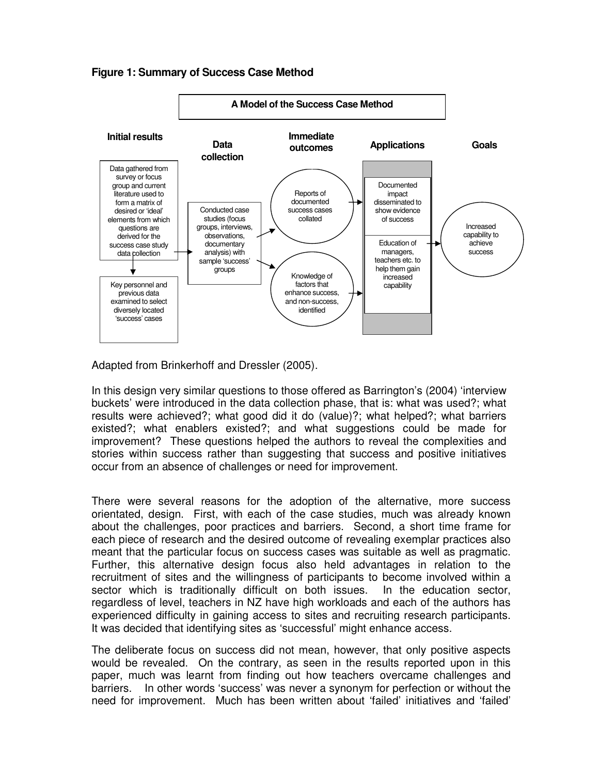#### **Figure 1: Summary of Success Case Method**



Adapted from Brinkerhoff and Dressler (2005).

In this design very similar questions to those offered as Barrington's (2004) 'interview buckets' were introduced in the data collection phase, that is: what was used?; what results were achieved?; what good did it do (value)?; what helped?; what barriers existed?; what enablers existed?; and what suggestions could be made for improvement? These questions helped the authors to reveal the complexities and stories within success rather than suggesting that success and positive initiatives occur from an absence of challenges or need for improvement.

There were several reasons for the adoption of the alternative, more success orientated, design. First, with each of the case studies, much was already known about the challenges, poor practices and barriers. Second, a short time frame for each piece of research and the desired outcome of revealing exemplar practices also meant that the particular focus on success cases was suitable as well as pragmatic. Further, this alternative design focus also held advantages in relation to the recruitment of sites and the willingness of participants to become involved within a sector which is traditionally difficult on both issues. In the education sector, regardless of level, teachers in NZ have high workloads and each of the authors has experienced difficulty in gaining access to sites and recruiting research participants. It was decided that identifying sites as 'successful' might enhance access.

The deliberate focus on success did not mean, however, that only positive aspects would be revealed. On the contrary, as seen in the results reported upon in this paper, much was learnt from finding out how teachers overcame challenges and barriers. In other words 'success' was never a synonym for perfection or without the need for improvement. Much has been written about 'failed' initiatives and 'failed'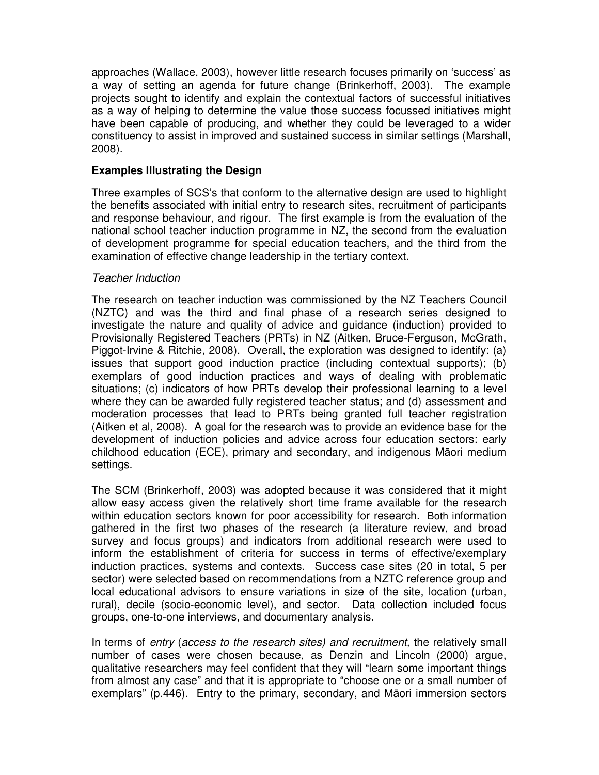approaches (Wallace, 2003), however little research focuses primarily on 'success' as a way of setting an agenda for future change (Brinkerhoff, 2003). The example projects sought to identify and explain the contextual factors of successful initiatives as a way of helping to determine the value those success focussed initiatives might have been capable of producing, and whether they could be leveraged to a wider constituency to assist in improved and sustained success in similar settings (Marshall, 2008).

## **Examples Illustrating the Design**

Three examples of SCS's that conform to the alternative design are used to highlight the benefits associated with initial entry to research sites, recruitment of participants and response behaviour, and rigour. The first example is from the evaluation of the national school teacher induction programme in NZ, the second from the evaluation of development programme for special education teachers, and the third from the examination of effective change leadership in the tertiary context.

#### Teacher Induction

The research on teacher induction was commissioned by the NZ Teachers Council (NZTC) and was the third and final phase of a research series designed to investigate the nature and quality of advice and guidance (induction) provided to Provisionally Registered Teachers (PRTs) in NZ (Aitken, Bruce-Ferguson, McGrath, Piggot-Irvine & Ritchie, 2008). Overall, the exploration was designed to identify: (a) issues that support good induction practice (including contextual supports); (b) exemplars of good induction practices and ways of dealing with problematic situations; (c) indicators of how PRTs develop their professional learning to a level where they can be awarded fully registered teacher status; and (d) assessment and moderation processes that lead to PRTs being granted full teacher registration (Aitken et al, 2008). A goal for the research was to provide an evidence base for the development of induction policies and advice across four education sectors: early childhood education (ECE), primary and secondary, and indigenous Māori medium settings.

The SCM (Brinkerhoff, 2003) was adopted because it was considered that it might allow easy access given the relatively short time frame available for the research within education sectors known for poor accessibility for research. Both information gathered in the first two phases of the research (a literature review, and broad survey and focus groups) and indicators from additional research were used to inform the establishment of criteria for success in terms of effective/exemplary induction practices, systems and contexts. Success case sites (20 in total, 5 per sector) were selected based on recommendations from a NZTC reference group and local educational advisors to ensure variations in size of the site, location (urban, rural), decile (socio-economic level), and sector. Data collection included focus groups, one-to-one interviews, and documentary analysis.

In terms of *entry (access to the research sites) and recruitment*, the relatively small number of cases were chosen because, as Denzin and Lincoln (2000) argue, qualitative researchers may feel confident that they will "learn some important things from almost any case" and that it is appropriate to "choose one or a small number of exemplars" (p.446). Entry to the primary, secondary, and Māori immersion sectors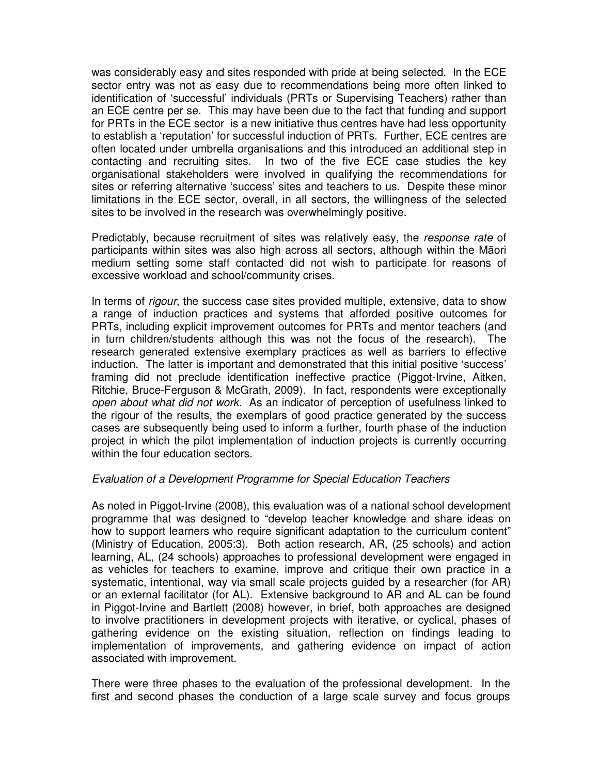was considerably easy and sites responded with pride at being selected. In the ECE sector entry was not as easy due to recommendations being more often linked to identification of 'successful' individuals (PRTs or Supervising Teachers) rather than an ECE centre per se. This may have been due to the fact that funding and support for PRTs in the ECE sector is a new initiative thus centres have had less opportunity to establish a 'reputation' for successful induction of PRTs. Further, ECE centres are often located under umbrella organisations and this introduced an additional step in contacting and recruiting sites. In two of the five ECE case studies the key organisational stakeholders were involved in qualifying the recommendations for sites or referring alternative 'success' sites and teachers to us. Despite these minor limitations in the ECE sector, overall, in all sectors, the willingness of the selected sites to be involved in the research was overwhelmingly positive.

Predictably, because recruitment of sites was relatively easy, the response rate of participants within sites was also high across all sectors, although within the Māori medium setting some staff contacted did not wish to participate for reasons of excessive workload and school/community crises.

In terms of *rigour*, the success case sites provided multiple, extensive, data to show a range of induction practices and systems that afforded positive outcomes for PRTs, including explicit improvement outcomes for PRTs and mentor teachers (and in turn children/students although this was not the focus of the research). The research generated extensive exemplary practices as well as barriers to effective induction. The latter is important and demonstrated that this initial positive 'success' framing did not preclude identification ineffective practice (Piggot-Irvine, Aitken, Ritchie, Bruce-Ferguson & McGrath, 2009). In fact, respondents were exceptionally open about what did not work. As an indicator of perception of usefulness linked to the rigour of the results, the exemplars of good practice generated by the success cases are subsequently being used to inform a further, fourth phase of the induction project in which the pilot implementation of induction projects is currently occurring within the four education sectors.

# Evaluation of a Development Programme for Special Education Teachers

As noted in Piggot-Irvine (2008), this evaluation was of a national school development programme that was designed to "develop teacher knowledge and share ideas on how to support learners who require significant adaptation to the curriculum content" (Ministry of Education, 2005:3). Both action research, AR, (25 schools) and action learning, AL, (24 schools) approaches to professional development were engaged in as vehicles for teachers to examine, improve and critique their own practice in a systematic, intentional, way via small scale projects guided by a researcher (for AR) or an external facilitator (for AL). Extensive background to AR and AL can be found in Piggot-Irvine and Bartlett (2008) however, in brief, both approaches are designed to involve practitioners in development projects with iterative, or cyclical, phases of gathering evidence on the existing situation, reflection on findings leading to implementation of improvements, and gathering evidence on impact of action associated with improvement.

There were three phases to the evaluation of the professional development. In the first and second phases the conduction of a large scale survey and focus groups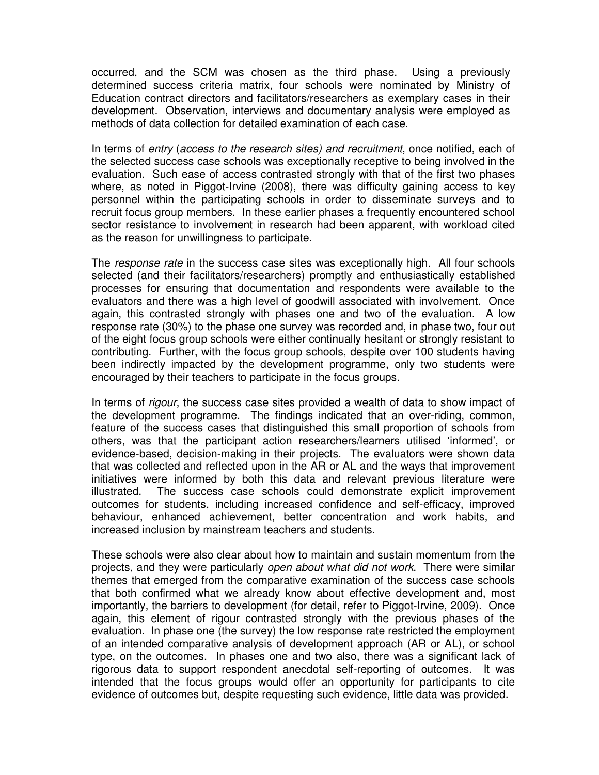occurred, and the SCM was chosen as the third phase. Using a previously determined success criteria matrix, four schools were nominated by Ministry of Education contract directors and facilitators/researchers as exemplary cases in their development. Observation, interviews and documentary analysis were employed as methods of data collection for detailed examination of each case.

In terms of entry (access to the research sites) and recruitment, once notified, each of the selected success case schools was exceptionally receptive to being involved in the evaluation. Such ease of access contrasted strongly with that of the first two phases where, as noted in Piggot-Irvine (2008), there was difficulty gaining access to key personnel within the participating schools in order to disseminate surveys and to recruit focus group members. In these earlier phases a frequently encountered school sector resistance to involvement in research had been apparent, with workload cited as the reason for unwillingness to participate.

The response rate in the success case sites was exceptionally high. All four schools selected (and their facilitators/researchers) promptly and enthusiastically established processes for ensuring that documentation and respondents were available to the evaluators and there was a high level of goodwill associated with involvement. Once again, this contrasted strongly with phases one and two of the evaluation. A low response rate (30%) to the phase one survey was recorded and, in phase two, four out of the eight focus group schools were either continually hesitant or strongly resistant to contributing. Further, with the focus group schools, despite over 100 students having been indirectly impacted by the development programme, only two students were encouraged by their teachers to participate in the focus groups.

In terms of *rigour*, the success case sites provided a wealth of data to show impact of the development programme. The findings indicated that an over-riding, common, feature of the success cases that distinguished this small proportion of schools from others, was that the participant action researchers/learners utilised 'informed', or evidence-based, decision-making in their projects. The evaluators were shown data that was collected and reflected upon in the AR or AL and the ways that improvement initiatives were informed by both this data and relevant previous literature were illustrated. The success case schools could demonstrate explicit improvement outcomes for students, including increased confidence and self-efficacy, improved behaviour, enhanced achievement, better concentration and work habits, and increased inclusion by mainstream teachers and students.

These schools were also clear about how to maintain and sustain momentum from the projects, and they were particularly open about what did not work. There were similar themes that emerged from the comparative examination of the success case schools that both confirmed what we already know about effective development and, most importantly, the barriers to development (for detail, refer to Piggot-Irvine, 2009). Once again, this element of rigour contrasted strongly with the previous phases of the evaluation. In phase one (the survey) the low response rate restricted the employment of an intended comparative analysis of development approach (AR or AL), or school type, on the outcomes. In phases one and two also, there was a significant lack of rigorous data to support respondent anecdotal self-reporting of outcomes. It was intended that the focus groups would offer an opportunity for participants to cite evidence of outcomes but, despite requesting such evidence, little data was provided.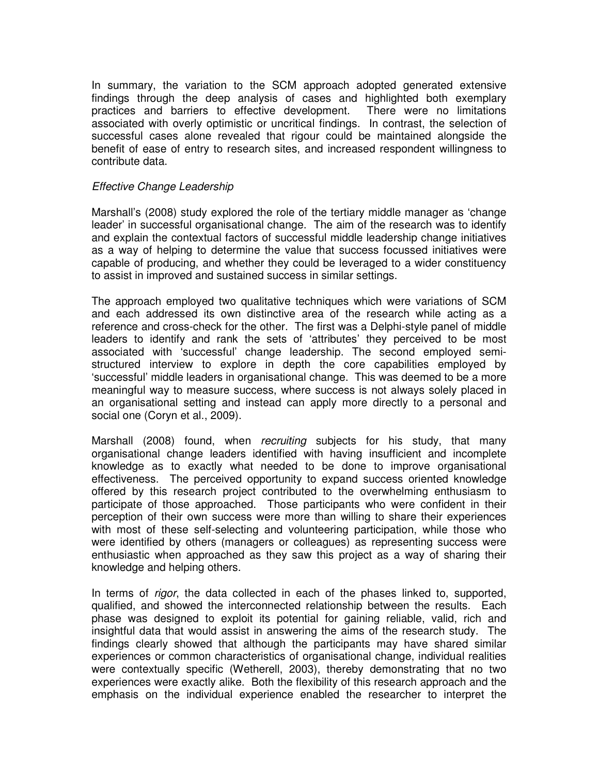In summary, the variation to the SCM approach adopted generated extensive findings through the deep analysis of cases and highlighted both exemplary practices and barriers to effective development. There were no limitations associated with overly optimistic or uncritical findings. In contrast, the selection of successful cases alone revealed that rigour could be maintained alongside the benefit of ease of entry to research sites, and increased respondent willingness to contribute data.

## Effective Change Leadership

Marshall's (2008) study explored the role of the tertiary middle manager as 'change leader' in successful organisational change. The aim of the research was to identify and explain the contextual factors of successful middle leadership change initiatives as a way of helping to determine the value that success focussed initiatives were capable of producing, and whether they could be leveraged to a wider constituency to assist in improved and sustained success in similar settings.

The approach employed two qualitative techniques which were variations of SCM and each addressed its own distinctive area of the research while acting as a reference and cross-check for the other. The first was a Delphi-style panel of middle leaders to identify and rank the sets of 'attributes' they perceived to be most associated with 'successful' change leadership. The second employed semistructured interview to explore in depth the core capabilities employed by 'successful' middle leaders in organisational change. This was deemed to be a more meaningful way to measure success, where success is not always solely placed in an organisational setting and instead can apply more directly to a personal and social one (Coryn et al., 2009).

Marshall (2008) found, when recruiting subjects for his study, that many organisational change leaders identified with having insufficient and incomplete knowledge as to exactly what needed to be done to improve organisational effectiveness. The perceived opportunity to expand success oriented knowledge offered by this research project contributed to the overwhelming enthusiasm to participate of those approached. Those participants who were confident in their perception of their own success were more than willing to share their experiences with most of these self-selecting and volunteering participation, while those who were identified by others (managers or colleagues) as representing success were enthusiastic when approached as they saw this project as a way of sharing their knowledge and helping others.

In terms of *rigor*, the data collected in each of the phases linked to, supported, qualified, and showed the interconnected relationship between the results. Each phase was designed to exploit its potential for gaining reliable, valid, rich and insightful data that would assist in answering the aims of the research study. The findings clearly showed that although the participants may have shared similar experiences or common characteristics of organisational change, individual realities were contextually specific (Wetherell, 2003), thereby demonstrating that no two experiences were exactly alike. Both the flexibility of this research approach and the emphasis on the individual experience enabled the researcher to interpret the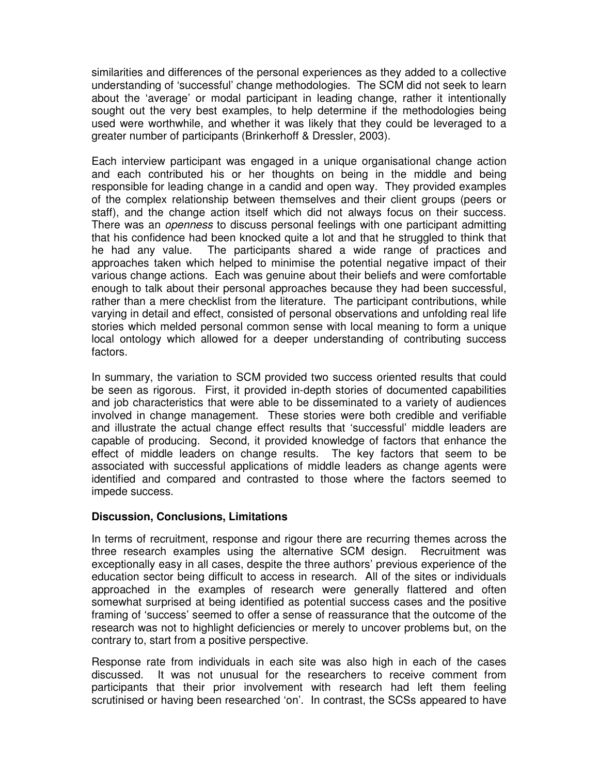similarities and differences of the personal experiences as they added to a collective understanding of 'successful' change methodologies. The SCM did not seek to learn about the 'average' or modal participant in leading change, rather it intentionally sought out the very best examples, to help determine if the methodologies being used were worthwhile, and whether it was likely that they could be leveraged to a greater number of participants (Brinkerhoff & Dressler, 2003).

Each interview participant was engaged in a unique organisational change action and each contributed his or her thoughts on being in the middle and being responsible for leading change in a candid and open way. They provided examples of the complex relationship between themselves and their client groups (peers or staff), and the change action itself which did not always focus on their success. There was an *openness* to discuss personal feelings with one participant admitting that his confidence had been knocked quite a lot and that he struggled to think that he had any value. The participants shared a wide range of practices and approaches taken which helped to minimise the potential negative impact of their various change actions. Each was genuine about their beliefs and were comfortable enough to talk about their personal approaches because they had been successful, rather than a mere checklist from the literature. The participant contributions, while varying in detail and effect, consisted of personal observations and unfolding real life stories which melded personal common sense with local meaning to form a unique local ontology which allowed for a deeper understanding of contributing success factors.

In summary, the variation to SCM provided two success oriented results that could be seen as rigorous. First, it provided in-depth stories of documented capabilities and job characteristics that were able to be disseminated to a variety of audiences involved in change management. These stories were both credible and verifiable and illustrate the actual change effect results that 'successful' middle leaders are capable of producing. Second, it provided knowledge of factors that enhance the effect of middle leaders on change results. The key factors that seem to be associated with successful applications of middle leaders as change agents were identified and compared and contrasted to those where the factors seemed to impede success.

# **Discussion, Conclusions, Limitations**

In terms of recruitment, response and rigour there are recurring themes across the three research examples using the alternative SCM design. Recruitment was exceptionally easy in all cases, despite the three authors' previous experience of the education sector being difficult to access in research. All of the sites or individuals approached in the examples of research were generally flattered and often somewhat surprised at being identified as potential success cases and the positive framing of 'success' seemed to offer a sense of reassurance that the outcome of the research was not to highlight deficiencies or merely to uncover problems but, on the contrary to, start from a positive perspective.

Response rate from individuals in each site was also high in each of the cases discussed. It was not unusual for the researchers to receive comment from participants that their prior involvement with research had left them feeling scrutinised or having been researched 'on'. In contrast, the SCSs appeared to have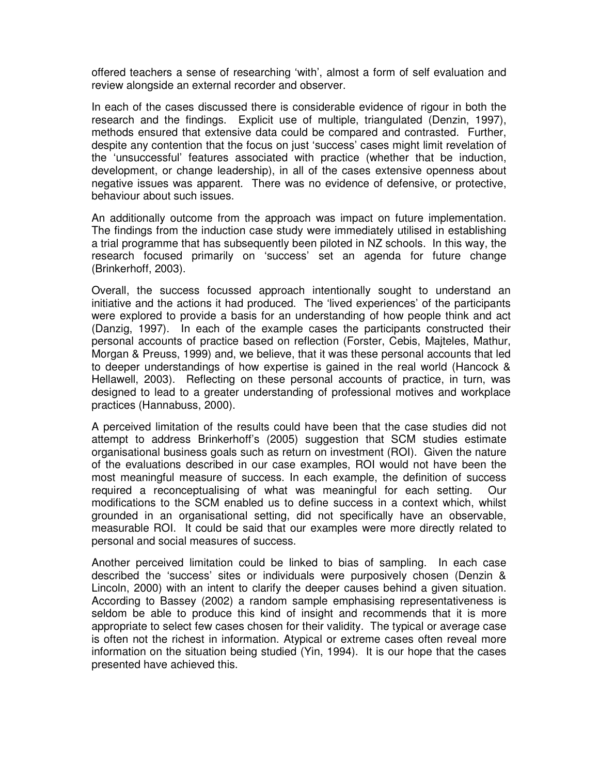offered teachers a sense of researching 'with', almost a form of self evaluation and review alongside an external recorder and observer.

In each of the cases discussed there is considerable evidence of rigour in both the research and the findings. Explicit use of multiple, triangulated (Denzin, 1997), methods ensured that extensive data could be compared and contrasted. Further, despite any contention that the focus on just 'success' cases might limit revelation of the 'unsuccessful' features associated with practice (whether that be induction, development, or change leadership), in all of the cases extensive openness about negative issues was apparent. There was no evidence of defensive, or protective, behaviour about such issues.

An additionally outcome from the approach was impact on future implementation. The findings from the induction case study were immediately utilised in establishing a trial programme that has subsequently been piloted in NZ schools. In this way, the research focused primarily on 'success' set an agenda for future change (Brinkerhoff, 2003).

Overall, the success focussed approach intentionally sought to understand an initiative and the actions it had produced. The 'lived experiences' of the participants were explored to provide a basis for an understanding of how people think and act (Danzig, 1997). In each of the example cases the participants constructed their personal accounts of practice based on reflection (Forster, Cebis, Majteles, Mathur, Morgan & Preuss, 1999) and, we believe, that it was these personal accounts that led to deeper understandings of how expertise is gained in the real world (Hancock & Hellawell, 2003). Reflecting on these personal accounts of practice, in turn, was designed to lead to a greater understanding of professional motives and workplace practices (Hannabuss, 2000).

A perceived limitation of the results could have been that the case studies did not attempt to address Brinkerhoff's (2005) suggestion that SCM studies estimate organisational business goals such as return on investment (ROI). Given the nature of the evaluations described in our case examples, ROI would not have been the most meaningful measure of success. In each example, the definition of success required a reconceptualising of what was meaningful for each setting. Our modifications to the SCM enabled us to define success in a context which, whilst grounded in an organisational setting, did not specifically have an observable, measurable ROI. It could be said that our examples were more directly related to personal and social measures of success.

Another perceived limitation could be linked to bias of sampling. In each case described the 'success' sites or individuals were purposively chosen (Denzin & Lincoln, 2000) with an intent to clarify the deeper causes behind a given situation. According to Bassey (2002) a random sample emphasising representativeness is seldom be able to produce this kind of insight and recommends that it is more appropriate to select few cases chosen for their validity. The typical or average case is often not the richest in information. Atypical or extreme cases often reveal more information on the situation being studied (Yin, 1994). It is our hope that the cases presented have achieved this.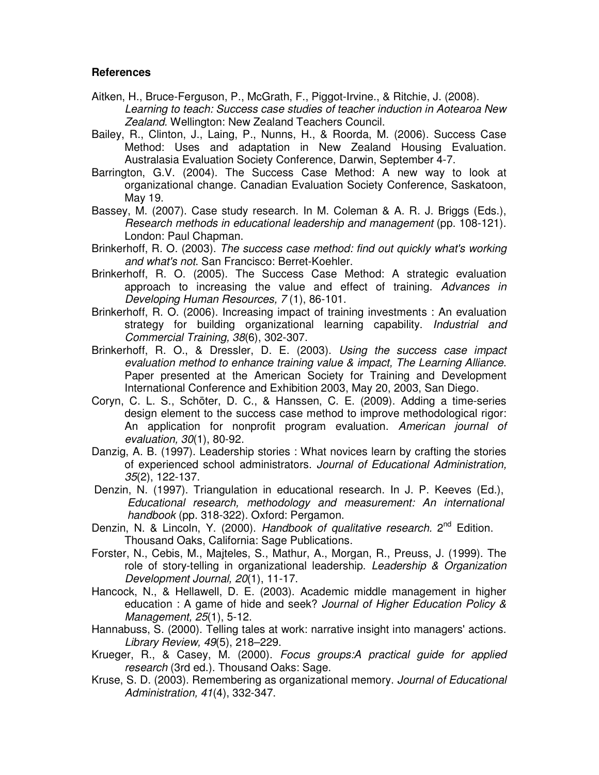## **References**

- Aitken, H., Bruce-Ferguson, P., McGrath, F., Piggot-Irvine., & Ritchie, J. (2008). Learning to teach: Success case studies of teacher induction in Aotearoa New Zealand. Wellington: New Zealand Teachers Council.
- Bailey, R., Clinton, J., Laing, P., Nunns, H., & Roorda, M. (2006). Success Case Method: Uses and adaptation in New Zealand Housing Evaluation. Australasia Evaluation Society Conference, Darwin, September 4-7.
- Barrington, G.V. (2004). The Success Case Method: A new way to look at organizational change. Canadian Evaluation Society Conference, Saskatoon, May 19.
- Bassey, M. (2007). Case study research. In M. Coleman & A. R. J. Briggs (Eds.), Research methods in educational leadership and management (pp. 108-121). London: Paul Chapman.
- Brinkerhoff, R. O. (2003). The success case method: find out quickly what's working and what's not. San Francisco: Berret-Koehler.
- Brinkerhoff, R. O. (2005). The Success Case Method: A strategic evaluation approach to increasing the value and effect of training. Advances in Developing Human Resources, 7 (1), 86-101.
- Brinkerhoff, R. O. (2006). Increasing impact of training investments : An evaluation strategy for building organizational learning capability. *Industrial and* Commercial Training, 38(6), 302-307.
- Brinkerhoff, R. O., & Dressler, D. E. (2003). Using the success case impact evaluation method to enhance training value & impact, The Learning Alliance. Paper presented at the American Society for Training and Development International Conference and Exhibition 2003, May 20, 2003, San Diego.
- Coryn, C. L. S., Schöter, D. C., & Hanssen, C. E. (2009). Adding a time-series design element to the success case method to improve methodological rigor: An application for nonprofit program evaluation. American journal of evaluation, 30(1), 80-92.
- Danzig, A. B. (1997). Leadership stories : What novices learn by crafting the stories of experienced school administrators. Journal of Educational Administration, 35(2), 122-137.
- Denzin, N. (1997). Triangulation in educational research. In J. P. Keeves (Ed.), Educational research, methodology and measurement: An international handbook (pp. 318-322). Oxford: Pergamon.
- Denzin, N. & Lincoln, Y. (2000). Handbook of qualitative research.  $2^{nd}$  Edition. Thousand Oaks, California: Sage Publications.
- Forster, N., Cebis, M., Majteles, S., Mathur, A., Morgan, R., Preuss, J. (1999). The role of story-telling in organizational leadership. Leadership & Organization Development Journal, 20(1), 11-17.
- Hancock, N., & Hellawell, D. E. (2003). Academic middle management in higher education : A game of hide and seek? Journal of Higher Education Policy & Management, 25(1), 5-12.
- Hannabuss, S. (2000). Telling tales at work: narrative insight into managers' actions. Library Review, 49(5), 218–229.
- Krueger, R., & Casey, M. (2000). Focus groups:A practical guide for applied research (3rd ed.). Thousand Oaks: Sage.
- Kruse, S. D. (2003). Remembering as organizational memory. Journal of Educational Administration, 41(4), 332-347.